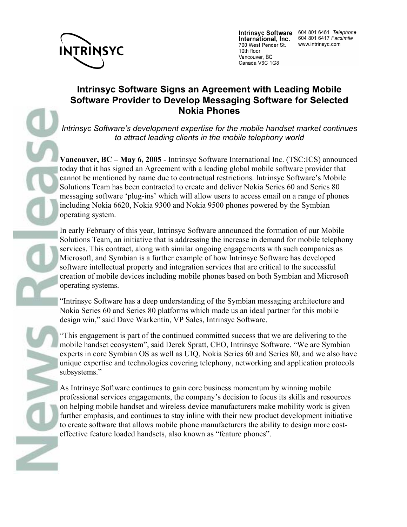

International, Inc. 700 West Pender St. 10th floor Vancouver, BC Canada V6C 1G8

Intrinsyc Software 604 801 6461 Telephone 604 801 6417 Facsimile www.intrinsyc.com

## **Intrinsyc Software Signs an Agreement with Leading Mobile Software Provider to Develop Messaging Software for Selected Nokia Phones**

*Intrinsyc Software's development expertise for the mobile handset market continues to attract leading clients in the mobile telephony world* 

**Vancouver, BC – May 6, 2005** - Intrinsyc Software International Inc. (TSC:ICS) announced today that it has signed an Agreement with a leading global mobile software provider that cannot be mentioned by name due to contractual restrictions. Intrinsyc Software's Mobile Solutions Team has been contracted to create and deliver Nokia Series 60 and Series 80 messaging software 'plug-ins' which will allow users to access email on a range of phones including Nokia 6620, Nokia 9300 and Nokia 9500 phones powered by the Symbian operating system.

In early February of this year, Intrinsyc Software announced the formation of our Mobile Solutions Team, an initiative that is addressing the increase in demand for mobile telephony services. This contract, along with similar ongoing engagements with such companies as Microsoft, and Symbian is a further example of how Intrinsyc Software has developed software intellectual property and integration services that are critical to the successful creation of mobile devices including mobile phones based on both Symbian and Microsoft operating systems.

"Intrinsyc Software has a deep understanding of the Symbian messaging architecture and Nokia Series 60 and Series 80 platforms which made us an ideal partner for this mobile design win," said Dave Warkentin, VP Sales, Intrinsyc Software.

"This engagement is part of the continued committed success that we are delivering to the mobile handset ecosystem", said Derek Spratt, CEO, Intrinsyc Software. "We are Symbian experts in core Symbian OS as well as UIQ, Nokia Series 60 and Series 80, and we also have unique expertise and technologies covering telephony, networking and application protocols subsystems."

As Intrinsyc Software continues to gain core business momentum by winning mobile professional services engagements, the company's decision to focus its skills and resources on helping mobile handset and wireless device manufacturers make mobility work is given further emphasis, and continues to stay inline with their new product development initiative to create software that allows mobile phone manufacturers the ability to design more costeffective feature loaded handsets, also known as "feature phones".